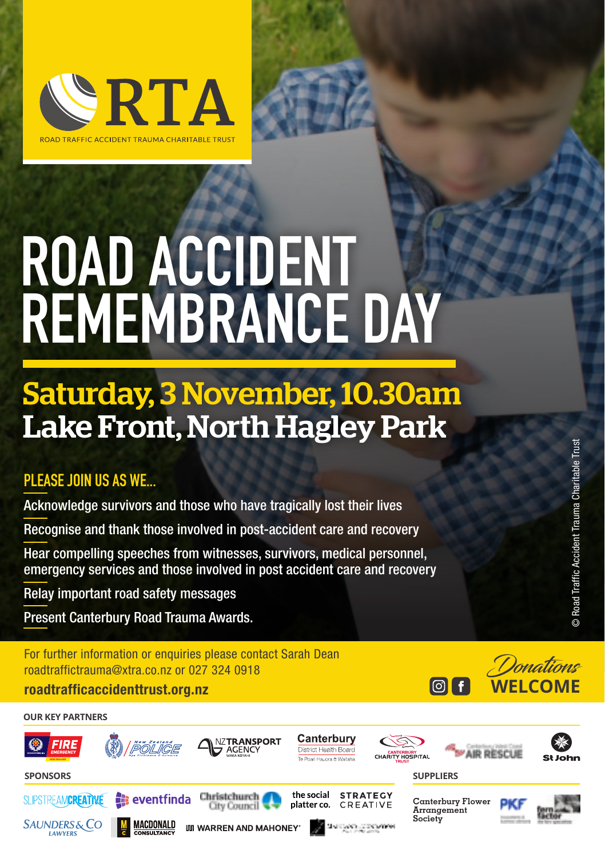

# **ROAD ACCIDENT REMEMBRANCE DAY**

### Saturday, 3 November, 10.30am Lake Front, North Hagley Park

### **PLEASE JOIN US AS WE...**

Acknowledge survivors and those who have tragically lost their lives

Recognise and thank those involved in post-accident care and recovery

Hear compelling speeches from witnesses, survivors, medical personnel, emergency services and those involved in post accident care and recovery

Relay important road safety messages

Present Canterbury Road Trauma Awards.

For further information or enquiries please contact Sarah Dean roadtraffictrauma@xtra.co.nz or 027 324 0918



### **OUR KEY PARTNERS**

**LAWYER**